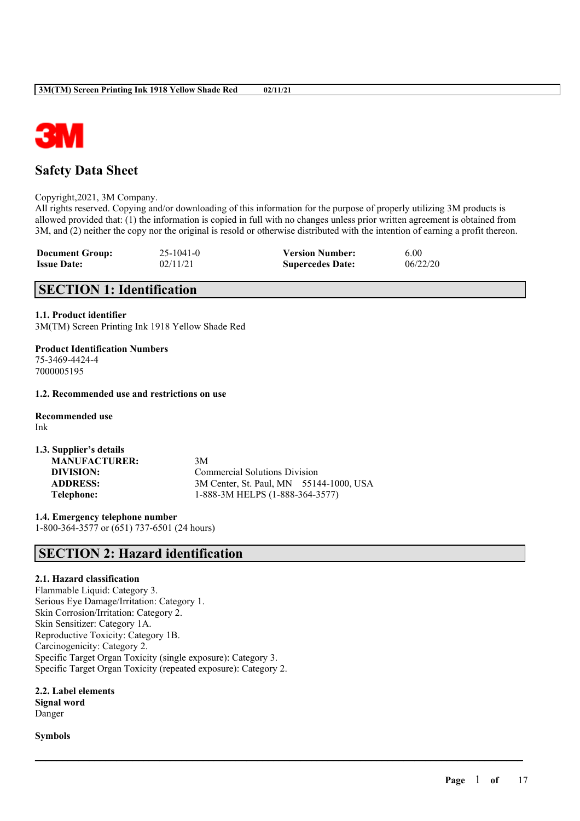

# **Safety Data Sheet**

Copyright,2021, 3M Company.

All rights reserved. Copying and/or downloading of this information for the purpose of properly utilizing 3M products is allowed provided that: (1) the information is copied in full with no changes unless prior written agreement is obtained from 3M, and (2) neither the copy nor the original is resold or otherwise distributed with the intention of earning a profit thereon.

| <b>Document Group:</b> | $25 - 1041 - 0$ | <b>Version Number:</b>  | 6.00     |
|------------------------|-----------------|-------------------------|----------|
| <b>Issue Date:</b>     | 02/11/21        | <b>Supercedes Date:</b> | 06/22/20 |

# **SECTION 1: Identification**

### **1.1. Product identifier**

3M(TM) Screen Printing Ink 1918 Yellow Shade Red

**Product Identification Numbers** 75-3469-4424-4 7000005195

**1.2. Recommended use and restrictions on use**

**Recommended use** Ink

**1.3. Supplier's details MANUFACTURER:** 3M

**DIVISION:** Commercial Solutions Division **ADDRESS:** 3M Center, St. Paul, MN 55144-1000, USA **Telephone:** 1-888-3M HELPS (1-888-364-3577)

 $\mathcal{L}_\mathcal{L} = \mathcal{L}_\mathcal{L} = \mathcal{L}_\mathcal{L} = \mathcal{L}_\mathcal{L} = \mathcal{L}_\mathcal{L} = \mathcal{L}_\mathcal{L} = \mathcal{L}_\mathcal{L} = \mathcal{L}_\mathcal{L} = \mathcal{L}_\mathcal{L} = \mathcal{L}_\mathcal{L} = \mathcal{L}_\mathcal{L} = \mathcal{L}_\mathcal{L} = \mathcal{L}_\mathcal{L} = \mathcal{L}_\mathcal{L} = \mathcal{L}_\mathcal{L} = \mathcal{L}_\mathcal{L} = \mathcal{L}_\mathcal{L}$ 

**1.4. Emergency telephone number** 1-800-364-3577 or (651) 737-6501 (24 hours)

# **SECTION 2: Hazard identification**

## **2.1. Hazard classification**

Flammable Liquid: Category 3. Serious Eye Damage/Irritation: Category 1. Skin Corrosion/Irritation: Category 2. Skin Sensitizer: Category 1A. Reproductive Toxicity: Category 1B. Carcinogenicity: Category 2. Specific Target Organ Toxicity (single exposure): Category 3. Specific Target Organ Toxicity (repeated exposure): Category 2.

**2.2. Label elements Signal word** Danger

**Symbols**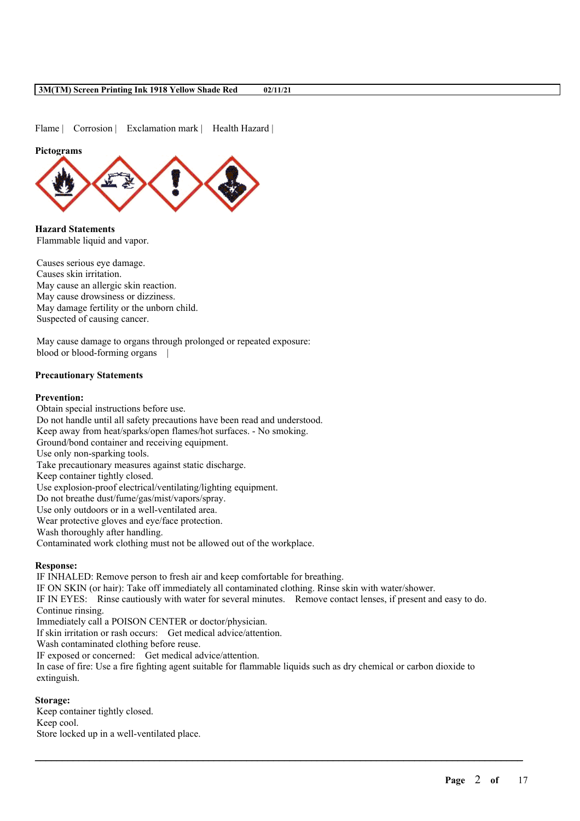Flame | Corrosion | Exclamation mark | Health Hazard |

#### **Pictograms**



**Hazard Statements** Flammable liquid and vapor.

Causes serious eye damage. Causes skin irritation. May cause an allergic skin reaction. May cause drowsiness or dizziness. May damage fertility or the unborn child. Suspected of causing cancer.

May cause damage to organs through prolonged or repeated exposure: blood or blood-forming organs |

### **Precautionary Statements**

#### **Prevention:**

Obtain special instructions before use. Do not handle until all safety precautions have been read and understood. Keep away from heat/sparks/open flames/hot surfaces. - No smoking. Ground/bond container and receiving equipment. Use only non-sparking tools. Take precautionary measures against static discharge. Keep container tightly closed. Use explosion-proof electrical/ventilating/lighting equipment. Do not breathe dust/fume/gas/mist/vapors/spray. Use only outdoors or in a well-ventilated area. Wear protective gloves and eye/face protection. Wash thoroughly after handling. Contaminated work clothing must not be allowed out of the workplace.

#### **Response:**

IF INHALED: Remove person to fresh air and keep comfortable for breathing. IF ON SKIN (or hair): Take off immediately all contaminated clothing. Rinse skin with water/shower. IF IN EYES: Rinse cautiously with water for several minutes. Remove contact lenses, if present and easy to do. Continue rinsing. Immediately call a POISON CENTER or doctor/physician. If skin irritation or rash occurs: Get medical advice/attention. Wash contaminated clothing before reuse. IF exposed or concerned: Get medical advice/attention. In case of fire: Use a fire fighting agent suitable for flammable liquids such as dry chemical or carbon dioxide to extinguish. **Storage:**

 $\mathcal{L}_\mathcal{L} = \mathcal{L}_\mathcal{L} = \mathcal{L}_\mathcal{L} = \mathcal{L}_\mathcal{L} = \mathcal{L}_\mathcal{L} = \mathcal{L}_\mathcal{L} = \mathcal{L}_\mathcal{L} = \mathcal{L}_\mathcal{L} = \mathcal{L}_\mathcal{L} = \mathcal{L}_\mathcal{L} = \mathcal{L}_\mathcal{L} = \mathcal{L}_\mathcal{L} = \mathcal{L}_\mathcal{L} = \mathcal{L}_\mathcal{L} = \mathcal{L}_\mathcal{L} = \mathcal{L}_\mathcal{L} = \mathcal{L}_\mathcal{L}$ 

## Keep container tightly closed. Keep cool. Store locked up in a well-ventilated place.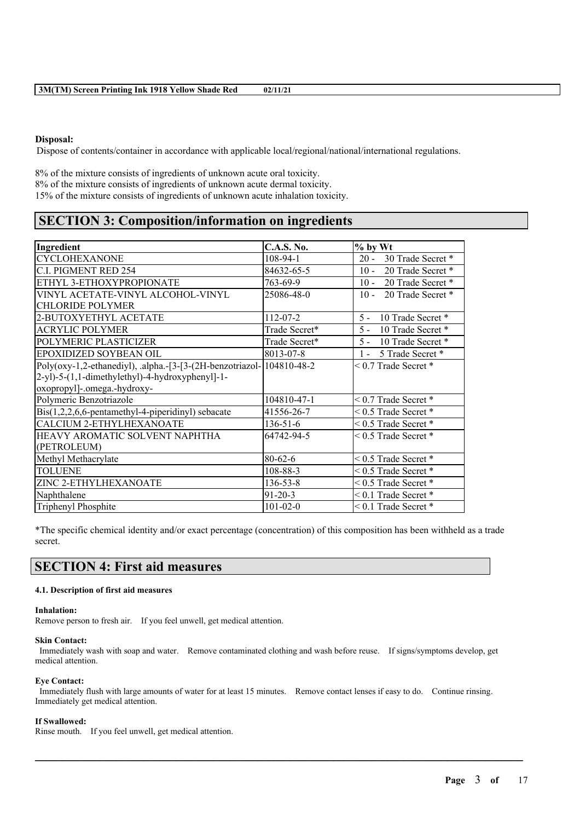### **Disposal:**

Dispose of contents/container in accordance with applicable local/regional/national/international regulations.

8% of the mixture consists of ingredients of unknown acute oral toxicity. 8% of the mixture consists of ingredients of unknown acute dermal toxicity. 15% of the mixture consists of ingredients of unknown acute inhalation toxicity.

# **SECTION 3: Composition/information on ingredients**

| Ingredient                                                               | <b>C.A.S. No.</b> | % by Wt                     |
|--------------------------------------------------------------------------|-------------------|-----------------------------|
| <b>CYCLOHEXANONE</b>                                                     | 108-94-1          | 30 Trade Secret *<br>$20 -$ |
| C.I. PIGMENT RED 254                                                     | 84632-65-5        | $10 -$<br>20 Trade Secret * |
| ETHYL 3-ETHOXYPROPIONATE                                                 | 763-69-9          | $10 -$<br>20 Trade Secret * |
| VINYL ACETATE-VINYL ALCOHOL-VINYL                                        | 25086-48-0        | $10 -$<br>20 Trade Secret * |
| <b>CHLORIDE POLYMER</b>                                                  |                   |                             |
| 2-BUTOXYETHYL ACETATE                                                    | $112 - 07 - 2$    | 10 Trade Secret *<br>$5 -$  |
| <b>ACRYLIC POLYMER</b>                                                   | Trade Secret*     | $5 -$<br>10 Trade Secret *  |
| POLYMERIC PLASTICIZER                                                    | Trade Secret*     | $5 -$<br>10 Trade Secret *  |
| EPOXIDIZED SOYBEAN OIL                                                   | 8013-07-8         | 5 Trade Secret *<br>$1 -$   |
| Poly(oxy-1,2-ethanediyl), .alpha.-[3-[3-(2H-benzotriazol- $ 104810-48-2$ |                   | $< 0.7$ Trade Secret $*$    |
| 2-yl)-5-(1,1-dimethylethyl)-4-hydroxyphenyl]-1-                          |                   |                             |
| oxopropyl]-.omega.-hydroxy-                                              |                   |                             |
| Polymeric Benzotriazole                                                  | 104810-47-1       | $< 0.7$ Trade Secret *      |
| $\text{Bis}(1,2,2,6,6\text{-pentamethyl-4-piperidinyl})$ sebacate        | 41556-26-7        | $< 0.5$ Trade Secret $*$    |
| <b>CALCIUM 2-ETHYLHEXANOATE</b>                                          | $136 - 51 - 6$    | $< 0.5$ Trade Secret $*$    |
| HEAVY AROMATIC SOLVENT NAPHTHA                                           | 64742-94-5        | $< 0.5$ Trade Secret $*$    |
| (PETROLEUM)                                                              |                   |                             |
| Methyl Methacrylate                                                      | $80 - 62 - 6$     | $< 0.5$ Trade Secret $*$    |
| TOLUENE                                                                  | 108-88-3          | $0.5$ Trade Secret $*$      |
| ZINC 2-ETHYLHEXANOATE                                                    | $136 - 53 - 8$    | $< 0.5$ Trade Secret $*$    |
| Naphthalene                                                              | $91 - 20 - 3$     | $< 0.1$ Trade Secret $*$    |
| Triphenyl Phosphite                                                      | $101 - 02 - 0$    | $< 0.1$ Trade Secret $*$    |

\*The specific chemical identity and/or exact percentage (concentration) of this composition has been withheld as a trade secret.

# **SECTION 4: First aid measures**

#### **4.1. Description of first aid measures**

#### **Inhalation:**

Remove person to fresh air. If you feel unwell, get medical attention.

#### **Skin Contact:**

Immediately wash with soap and water. Remove contaminated clothing and wash before reuse. If signs/symptoms develop, get medical attention.

### **Eye Contact:**

Immediately flush with large amounts of water for at least 15 minutes. Remove contact lenses if easy to do. Continue rinsing. Immediately get medical attention.

 $\mathcal{L}_\mathcal{L} = \mathcal{L}_\mathcal{L} = \mathcal{L}_\mathcal{L} = \mathcal{L}_\mathcal{L} = \mathcal{L}_\mathcal{L} = \mathcal{L}_\mathcal{L} = \mathcal{L}_\mathcal{L} = \mathcal{L}_\mathcal{L} = \mathcal{L}_\mathcal{L} = \mathcal{L}_\mathcal{L} = \mathcal{L}_\mathcal{L} = \mathcal{L}_\mathcal{L} = \mathcal{L}_\mathcal{L} = \mathcal{L}_\mathcal{L} = \mathcal{L}_\mathcal{L} = \mathcal{L}_\mathcal{L} = \mathcal{L}_\mathcal{L}$ 

#### **If Swallowed:**

Rinse mouth. If you feel unwell, get medical attention.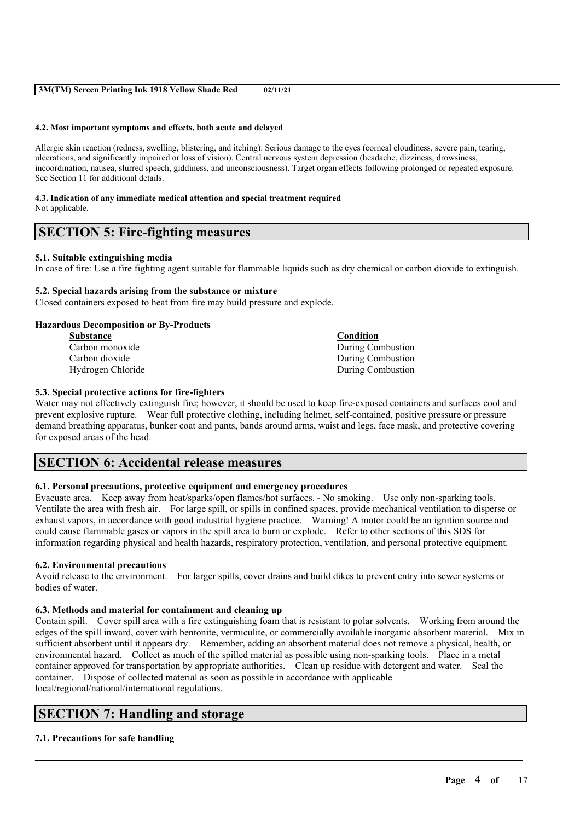#### **4.2. Most important symptoms and effects, both acute and delayed**

Allergic skin reaction (redness, swelling, blistering, and itching). Serious damage to the eyes (corneal cloudiness, severe pain, tearing, ulcerations, and significantly impaired or loss of vision). Central nervous system depression (headache, dizziness, drowsiness, incoordination, nausea, slurred speech, giddiness, and unconsciousness). Target organ effects following prolonged or repeated exposure. See Section 11 for additional details.

### **4.3. Indication of any immediate medical attention and special treatment required** Not applicable.

# **SECTION 5: Fire-fighting measures**

#### **5.1. Suitable extinguishing media**

In case of fire: Use a fire fighting agent suitable for flammable liquids such as dry chemical or carbon dioxide to extinguish.

#### **5.2. Special hazards arising from the substance or mixture**

Closed containers exposed to heat from fire may build pressure and explode.

#### **Hazardous Decomposition or By-Products**

| <b>Substance</b>  | <b>Condition</b>  |
|-------------------|-------------------|
| Carbon monoxide   | During Combustion |
| Carbon dioxide    | During Combustion |
| Hydrogen Chloride | During Combustion |

### **5.3. Special protective actions for fire-fighters**

Water may not effectively extinguish fire; however, it should be used to keep fire-exposed containers and surfaces cool and prevent explosive rupture. Wear full protective clothing, including helmet, self-contained, positive pressure or pressure demand breathing apparatus, bunker coat and pants, bands around arms, waist and legs, face mask, and protective covering for exposed areas of the head.

# **SECTION 6: Accidental release measures**

### **6.1. Personal precautions, protective equipment and emergency procedures**

Evacuate area. Keep away from heat/sparks/open flames/hot surfaces. - No smoking. Use only non-sparking tools. Ventilate the area with fresh air. For large spill, or spills in confined spaces, provide mechanical ventilation to disperse or exhaust vapors, in accordance with good industrial hygiene practice. Warning! A motor could be an ignition source and could cause flammable gases or vapors in the spill area to burn or explode. Refer to other sections of this SDS for information regarding physical and health hazards, respiratory protection, ventilation, and personal protective equipment.

#### **6.2. Environmental precautions**

Avoid release to the environment. For larger spills, cover drains and build dikes to prevent entry into sewer systems or bodies of water.

#### **6.3. Methods and material for containment and cleaning up**

Contain spill. Cover spill area with a fire extinguishing foam that is resistant to polar solvents. Working from around the edges of the spill inward, cover with bentonite, vermiculite, or commercially available inorganic absorbent material. Mix in sufficient absorbent until it appears dry. Remember, adding an absorbent material does not remove a physical, health, or environmental hazard. Collect as much of the spilled material as possible using non-sparking tools. Place in a metal container approved for transportation by appropriate authorities. Clean up residue with detergent and water. Seal the container. Dispose of collected material as soon as possible in accordance with applicable local/regional/national/international regulations.

 $\mathcal{L}_\mathcal{L} = \mathcal{L}_\mathcal{L} = \mathcal{L}_\mathcal{L} = \mathcal{L}_\mathcal{L} = \mathcal{L}_\mathcal{L} = \mathcal{L}_\mathcal{L} = \mathcal{L}_\mathcal{L} = \mathcal{L}_\mathcal{L} = \mathcal{L}_\mathcal{L} = \mathcal{L}_\mathcal{L} = \mathcal{L}_\mathcal{L} = \mathcal{L}_\mathcal{L} = \mathcal{L}_\mathcal{L} = \mathcal{L}_\mathcal{L} = \mathcal{L}_\mathcal{L} = \mathcal{L}_\mathcal{L} = \mathcal{L}_\mathcal{L}$ 

# **SECTION 7: Handling and storage**

## **7.1. Precautions for safe handling**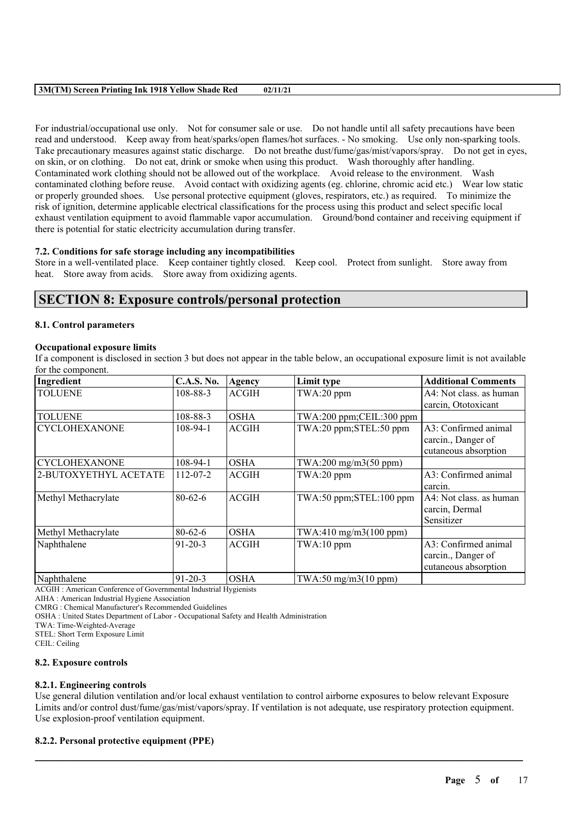For industrial/occupational use only. Not for consumer sale or use. Do not handle until all safety precautions have been read and understood. Keep away from heat/sparks/open flames/hot surfaces. - No smoking. Use only non-sparking tools. Take precautionary measures against static discharge. Do not breathe dust/fume/gas/mist/vapors/spray. Do not get in eyes, on skin, or on clothing. Do not eat, drink or smoke when using this product. Wash thoroughly after handling. Contaminated work clothing should not be allowed out of the workplace. Avoid release to the environment. Wash contaminated clothing before reuse. Avoid contact with oxidizing agents (eg. chlorine, chromic acid etc.) Wear low static or properly grounded shoes. Use personal protective equipment (gloves, respirators, etc.) as required. To minimize the risk of ignition, determine applicable electrical classifications for the process using this product and select specific local exhaust ventilation equipment to avoid flammable vapor accumulation. Ground/bond container and receiving equipment if there is potential for static electricity accumulation during transfer.

### **7.2. Conditions for safe storage including any incompatibilities**

Store in a well-ventilated place. Keep container tightly closed. Keep cool. Protect from sunlight. Store away from heat. Store away from acids. Store away from oxidizing agents.

# **SECTION 8: Exposure controls/personal protection**

#### **8.1. Control parameters**

### **Occupational exposure limits**

If a component is disclosed in section 3 but does not appear in the table below, an occupational exposure limit is not available for the component.

| Ingredient            | <b>C.A.S. No.</b> | Agency       | Limit type                 | <b>Additional Comments</b> |
|-----------------------|-------------------|--------------|----------------------------|----------------------------|
| <b>TOLUENE</b>        | 108-88-3          | <b>ACGIH</b> | TWA:20 ppm                 | A4: Not class, as human    |
|                       |                   |              |                            | carcin, Ototoxicant        |
| <b>TOLUENE</b>        | 108-88-3          | <b>OSHA</b>  | TWA:200 ppm;CEIL:300 ppm   |                            |
| <b>CYCLOHEXANONE</b>  | $108 - 94 - 1$    | <b>ACGIH</b> | TWA:20 ppm;STEL:50 ppm     | A3: Confirmed animal       |
|                       |                   |              |                            | carcin., Danger of         |
|                       |                   |              |                            | cutaneous absorption       |
| <b>CYCLOHEXANONE</b>  | $108-94-1$        | <b>OSHA</b>  | $TWA:200$ mg/m $3(50$ ppm) |                            |
| 2-BUTOXYETHYL ACETATE | $112 - 07 - 2$    | <b>ACGIH</b> | TWA:20 ppm                 | A3: Confirmed animal       |
|                       |                   |              |                            | carcin.                    |
| Methyl Methacrylate   | $80-62-6$         | <b>ACGIH</b> | TWA:50 ppm;STEL:100 ppm    | A4: Not class. as human    |
|                       |                   |              |                            | carcin, Dermal             |
|                       |                   |              |                            | Sensitizer                 |
| Methyl Methacrylate   | $80 - 62 - 6$     | <b>OSHA</b>  | TWA:410 mg/m3(100 ppm)     |                            |
| Naphthalene           | $91 - 20 - 3$     | <b>ACGIH</b> | $TWA:10$ ppm               | A3: Confirmed animal       |
|                       |                   |              |                            | carcin., Danger of         |
|                       |                   |              |                            | cutaneous absorption       |
| Naphthalene           | $91-20-3$         | <b>OSHA</b>  | TWA:50 mg/m3(10 ppm)       |                            |

ACGIH : American Conference of Governmental Industrial Hygienists

AIHA : American Industrial Hygiene Association

CMRG : Chemical Manufacturer's Recommended Guidelines

OSHA : United States Department of Labor - Occupational Safety and Health Administration

TWA: Time-Weighted-Average

STEL: Short Term Exposure Limit

CEIL: Ceiling

#### **8.2. Exposure controls**

## **8.2.1. Engineering controls**

Use general dilution ventilation and/or local exhaust ventilation to control airborne exposures to below relevant Exposure Limits and/or control dust/fume/gas/mist/vapors/spray. If ventilation is not adequate, use respiratory protection equipment. Use explosion-proof ventilation equipment.

 $\mathcal{L}_\mathcal{L} = \mathcal{L}_\mathcal{L} = \mathcal{L}_\mathcal{L} = \mathcal{L}_\mathcal{L} = \mathcal{L}_\mathcal{L} = \mathcal{L}_\mathcal{L} = \mathcal{L}_\mathcal{L} = \mathcal{L}_\mathcal{L} = \mathcal{L}_\mathcal{L} = \mathcal{L}_\mathcal{L} = \mathcal{L}_\mathcal{L} = \mathcal{L}_\mathcal{L} = \mathcal{L}_\mathcal{L} = \mathcal{L}_\mathcal{L} = \mathcal{L}_\mathcal{L} = \mathcal{L}_\mathcal{L} = \mathcal{L}_\mathcal{L}$ 

## **8.2.2. Personal protective equipment (PPE)**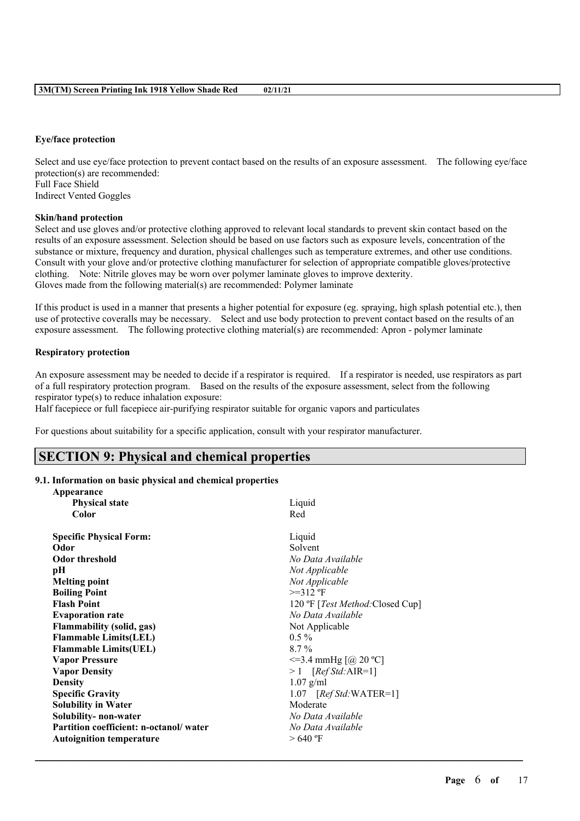#### **Eye/face protection**

Select and use eye/face protection to prevent contact based on the results of an exposure assessment. The following eye/face protection(s) are recommended: Full Face Shield

Indirect Vented Goggles

## **Skin/hand protection**

Select and use gloves and/or protective clothing approved to relevant local standards to prevent skin contact based on the results of an exposure assessment. Selection should be based on use factors such as exposure levels, concentration of the substance or mixture, frequency and duration, physical challenges such as temperature extremes, and other use conditions. Consult with your glove and/or protective clothing manufacturer for selection of appropriate compatible gloves/protective clothing. Note: Nitrile gloves may be worn over polymer laminate gloves to improve dexterity. Gloves made from the following material(s) are recommended: Polymer laminate

If this product is used in a manner that presents a higher potential for exposure (eg. spraying, high splash potential etc.), then use of protective coveralls may be necessary. Select and use body protection to prevent contact based on the results of an exposure assessment. The following protective clothing material(s) are recommended: Apron - polymer laminate

## **Respiratory protection**

An exposure assessment may be needed to decide if a respirator is required. If a respirator is needed, use respirators as part of a full respiratory protection program. Based on the results of the exposure assessment, select from the following respirator type(s) to reduce inhalation exposure:

Half facepiece or full facepiece air-purifying respirator suitable for organic vapors and particulates

For questions about suitability for a specific application, consult with your respirator manufacturer.

# **SECTION 9: Physical and chemical properties**

## **9.1. Information on basic physical and chemical properties**

| Appearance                             |                                          |
|----------------------------------------|------------------------------------------|
| <b>Physical state</b>                  | Liquid                                   |
| Color                                  | Red                                      |
| <b>Specific Physical Form:</b>         | Liquid                                   |
| Odor                                   | Solvent                                  |
| <b>Odor threshold</b>                  | No Data Available                        |
| pН                                     | Not Applicable                           |
| <b>Melting point</b>                   | Not Applicable                           |
| <b>Boiling Point</b>                   | $>=312$ °F                               |
| <b>Flash Point</b>                     | 120 °F [ <i>Test Method</i> :Closed Cup] |
| <b>Evaporation rate</b>                | No Data Available                        |
| <b>Flammability (solid, gas)</b>       | Not Applicable                           |
| <b>Flammable Limits(LEL)</b>           | $0.5\%$                                  |
| <b>Flammable Limits(UEL)</b>           | $8.7\%$                                  |
| <b>Vapor Pressure</b>                  | $\leq$ =3.4 mmHg [@ 20 °C]               |
| <b>Vapor Density</b>                   | $>1$ [Ref Std: AIR=1]                    |
| <b>Density</b>                         | $1.07$ g/ml                              |
| <b>Specific Gravity</b>                | $1.07$ [Ref Std:WATER=1]                 |
| <b>Solubility in Water</b>             | Moderate                                 |
| Solubility- non-water                  | No Data Available                        |
| Partition coefficient: n-octanol/water | No Data Available                        |
| <b>Autoignition temperature</b>        | >640 °F                                  |
|                                        |                                          |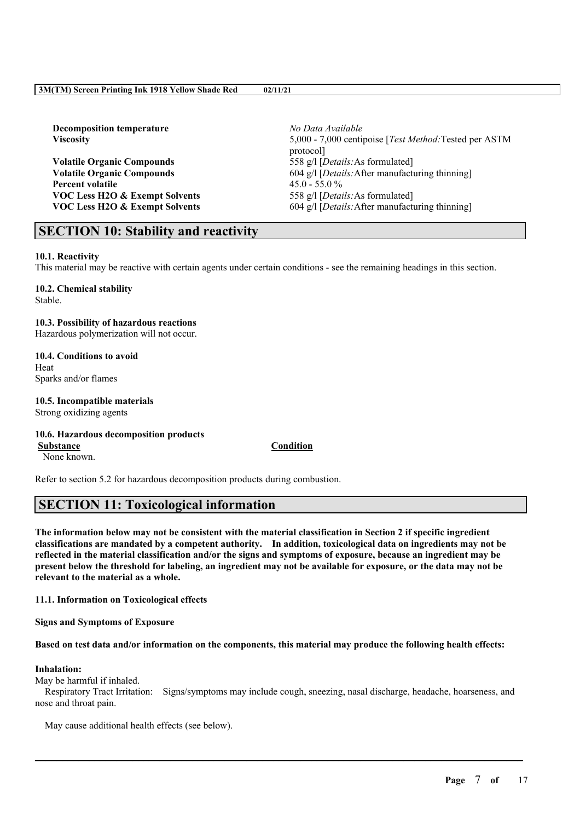| <b>Decomposition temperature</b>          | No Data Available                                      |
|-------------------------------------------|--------------------------------------------------------|
| <b>Viscosity</b>                          | 5,000 - 7,000 centipoise [Test Method: Tested per ASTM |
|                                           | protocol                                               |
| <b>Volatile Organic Compounds</b>         | 558 g/l [Details: As formulated]                       |
| <b>Volatile Organic Compounds</b>         | 604 g/l [Details: After manufacturing thinning]        |
| Percent volatile                          | $45.0 - 55.0 \%$                                       |
| <b>VOC Less H2O &amp; Exempt Solvents</b> | 558 g/l [ <i>Details</i> : As formulated]              |
| <b>VOC Less H2O &amp; Exempt Solvents</b> | 604 g/l [Details: After manufacturing thinning]        |
|                                           |                                                        |

# **SECTION 10: Stability and reactivity**

### **10.1. Reactivity**

This material may be reactive with certain agents under certain conditions - see the remaining headings in this section.

**10.2. Chemical stability** Stable.

# **10.3. Possibility of hazardous reactions**

Hazardous polymerization will not occur.

**10.4. Conditions to avoid** Heat Sparks and/or flames

#### **10.5. Incompatible materials** Strong oxidizing agents

## **10.6. Hazardous decomposition products**

None known.

**Substance Condition**

Refer to section 5.2 for hazardous decomposition products during combustion.

# **SECTION 11: Toxicological information**

The information below may not be consistent with the material classification in Section 2 if specific ingredient **classifications are mandated by a competent authority. In addition, toxicological data on ingredients may not be** reflected in the material classification and/or the signs and symptoms of exposure, because an ingredient may be present below the threshold for labeling, an ingredient may not be available for exposure, or the data may not be **relevant to the material as a whole.**

**11.1. Information on Toxicological effects**

**Signs and Symptoms of Exposure**

Based on test data and/or information on the components, this material may produce the following health effects:

## **Inhalation:**

May be harmful if inhaled.

Respiratory Tract Irritation: Signs/symptoms may include cough, sneezing, nasal discharge, headache, hoarseness, and nose and throat pain.

 $\mathcal{L}_\mathcal{L} = \mathcal{L}_\mathcal{L} = \mathcal{L}_\mathcal{L} = \mathcal{L}_\mathcal{L} = \mathcal{L}_\mathcal{L} = \mathcal{L}_\mathcal{L} = \mathcal{L}_\mathcal{L} = \mathcal{L}_\mathcal{L} = \mathcal{L}_\mathcal{L} = \mathcal{L}_\mathcal{L} = \mathcal{L}_\mathcal{L} = \mathcal{L}_\mathcal{L} = \mathcal{L}_\mathcal{L} = \mathcal{L}_\mathcal{L} = \mathcal{L}_\mathcal{L} = \mathcal{L}_\mathcal{L} = \mathcal{L}_\mathcal{L}$ 

May cause additional health effects (see below).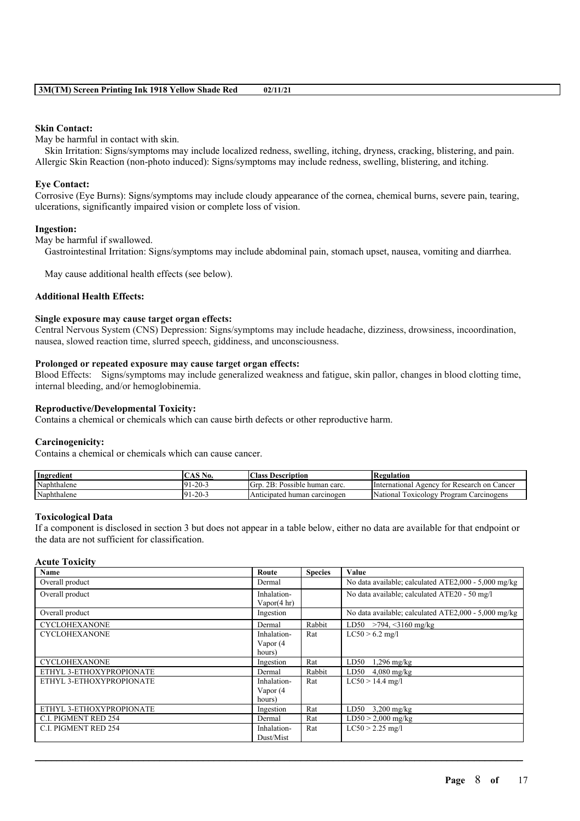#### **Skin Contact:**

May be harmful in contact with skin.

Skin Irritation: Signs/symptoms may include localized redness, swelling, itching, dryness, cracking, blistering, and pain. Allergic Skin Reaction (non-photo induced): Signs/symptoms may include redness, swelling, blistering, and itching.

#### **Eye Contact:**

Corrosive (Eye Burns): Signs/symptoms may include cloudy appearance of the cornea, chemical burns, severe pain, tearing, ulcerations, significantly impaired vision or complete loss of vision.

### **Ingestion:**

May be harmful if swallowed.

Gastrointestinal Irritation: Signs/symptoms may include abdominal pain, stomach upset, nausea, vomiting and diarrhea.

May cause additional health effects (see below).

### **Additional Health Effects:**

#### **Single exposure may cause target organ effects:**

Central Nervous System (CNS) Depression: Signs/symptoms may include headache, dizziness, drowsiness, incoordination, nausea, slowed reaction time, slurred speech, giddiness, and unconsciousness.

#### **Prolonged or repeated exposure may cause target organ effects:**

Blood Effects: Signs/symptoms may include generalized weakness and fatigue, skin pallor, changes in blood clotting time, internal bleeding, and/or hemoglobinemia.

#### **Reproductive/Developmental Toxicity:**

Contains a chemical or chemicals which can cause birth defects or other reproductive harm.

### **Carcinogenicity:**

Contains a chemical or chemicals which can cause cancer.

| Ingredient  | $\bigcap$ AS No.  | Class<br>Description               | Regulation                                          |
|-------------|-------------------|------------------------------------|-----------------------------------------------------|
| Naphthalene | $-20-$<br>$-91.7$ | 2B:<br>Grp<br>Possible human carc. | International<br>7 for Research on Cancer<br>Agency |
| Naphthalene | $-20-$<br>$-91$ . | Anticipated human carcinogen       | 'Nationai<br>Toxicology<br>Carcinogens<br>Program   |

#### **Toxicological Data**

If a component is disclosed in section 3 but does not appear in a table below, either no data are available for that endpoint or the data are not sufficient for classification.

## **Acute Toxicity**

| Name                        | Route                  | <b>Species</b> | Value                                                |
|-----------------------------|------------------------|----------------|------------------------------------------------------|
| Overall product             | Dermal                 |                | No data available; calculated ATE2,000 - 5,000 mg/kg |
| Overall product             | Inhalation-            |                | No data available; calculated ATE20 - 50 mg/l        |
|                             | Vapor $(4 \text{ hr})$ |                |                                                      |
| Overall product             | Ingestion              |                | No data available; calculated ATE2,000 - 5,000 mg/kg |
| <b>CYCLOHEXANONE</b>        | Dermal                 | Rabbit         | LD50 $>794, \leq 3160$ mg/kg                         |
| <b>CYCLOHEXANONE</b>        | Inhalation-            | Rat            | $LC50 > 6.2$ mg/l                                    |
|                             | Vapor (4               |                |                                                      |
|                             | hours)                 |                |                                                      |
| <b>CYCLOHEXANONE</b>        | Ingestion              | Rat            | LD50<br>$1,296$ mg/kg                                |
| ETHYL 3-ETHOXYPROPIONATE    | Dermal                 | Rabbit         | LD50<br>$4,080$ mg/kg                                |
| ETHYL 3-ETHOXYPROPIONATE    | Inhalation-            | Rat            | $LC50 > 14.4$ mg/l                                   |
|                             | Vapor (4               |                |                                                      |
|                             | hours)                 |                |                                                      |
| ETHYL 3-ETHOXYPROPIONATE    | Ingestion              | Rat            | LD50<br>$3,200$ mg/kg                                |
| C.I. PIGMENT RED 254        | Dermal                 | Rat            | $LD50 > 2,000$ mg/kg                                 |
| <b>C.I. PIGMENT RED 254</b> | Inhalation-            | Rat            | $LC50 > 2.25$ mg/l                                   |
|                             | Dust/Mist              |                |                                                      |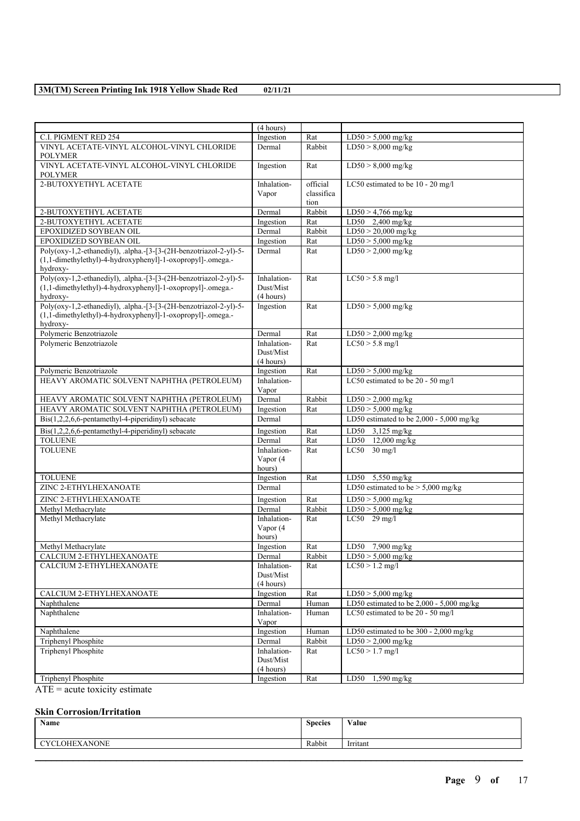|                                                                                                                                             | (4 hours)                             |                                |                                            |
|---------------------------------------------------------------------------------------------------------------------------------------------|---------------------------------------|--------------------------------|--------------------------------------------|
| C.I. PIGMENT RED 254                                                                                                                        | Ingestion                             | Rat                            | $LD50 > 5,000$ mg/kg                       |
| VINYL ACETATE-VINYL ALCOHOL-VINYL CHLORIDE<br><b>POLYMER</b>                                                                                | Dermal                                | Rabbit                         | $LD50 > 8,000$ mg/kg                       |
| VINYL ACETATE-VINYL ALCOHOL-VINYL CHLORIDE<br><b>POLYMER</b>                                                                                | Ingestion                             | Rat                            | $LD50 > 8,000$ mg/kg                       |
| 2-BUTOXYETHYL ACETATE                                                                                                                       | Inhalation-<br>Vapor                  | official<br>classifica<br>tion | LC50 estimated to be 10 - 20 mg/l          |
| 2-BUTOXYETHYL ACETATE                                                                                                                       | Dermal                                | Rabbit                         | $LD50 > 4,766$ mg/kg                       |
| 2-BUTOXYETHYL ACETATE                                                                                                                       | Ingestion                             | Rat                            | LD50 2,400 mg/kg                           |
| EPOXIDIZED SOYBEAN OIL                                                                                                                      | Dermal                                | Rabbit                         | $LD50 > 20,000$ mg/kg                      |
| EPOXIDIZED SOYBEAN OIL                                                                                                                      | Ingestion                             | Rat                            | $LD50 > 5,000$ mg/kg                       |
|                                                                                                                                             |                                       |                                | $LD50 > 2,000$ mg/kg                       |
| Poly(oxy-1,2-ethanediyl), .alpha.-[3-[3-(2H-benzotriazol-2-yl)-5-<br>(1,1-dimethylethyl)-4-hydroxyphenyl]-1-oxopropyl]-.omega.-<br>hydroxy- | Dermal                                | Rat                            |                                            |
| Poly(oxy-1,2-ethanediyl), .alpha.-[3-[3-(2H-benzotriazol-2-yl)-5-<br>(1,1-dimethylethyl)-4-hydroxyphenyl]-1-oxopropyl]-.omega.-<br>hydroxy- | Inhalation-<br>Dust/Mist<br>(4 hours) | Rat                            | $LC50 > 5.8$ mg/l                          |
| Poly(oxy-1,2-ethanediyl), .alpha.-[3-[3-(2H-benzotriazol-2-yl)-5-<br>(1,1-dimethylethyl)-4-hydroxyphenyl]-1-oxopropyl]-.omega.-<br>hydroxy- | Ingestion                             | Rat                            | $LD50 > 5,000$ mg/kg                       |
| Polymeric Benzotriazole                                                                                                                     | Dermal                                | Rat                            | $LD50 > 2,000$ mg/kg                       |
| Polymeric Benzotriazole                                                                                                                     | Inhalation-<br>Dust/Mist<br>(4 hours) | Rat                            | $LC50 > 5.8$ mg/l                          |
| Polymeric Benzotriazole                                                                                                                     | Ingestion                             | Rat                            | $LD50 > 5,000$ mg/kg                       |
| HEAVY AROMATIC SOLVENT NAPHTHA (PETROLEUM)                                                                                                  | Inhalation-<br>Vapor                  |                                | LC50 estimated to be 20 - 50 mg/l          |
| HEAVY AROMATIC SOLVENT NAPHTHA (PETROLEUM)                                                                                                  | Dermal                                | Rabbit                         | $LD50 > 2,000$ mg/kg                       |
| HEAVY AROMATIC SOLVENT NAPHTHA (PETROLEUM)                                                                                                  | Ingestion                             | Rat                            | $LD50 > 5,000$ mg/kg                       |
| Bis(1,2,2,6,6-pentamethyl-4-piperidinyl) sebacate                                                                                           | Dermal                                |                                | LD50 estimated to be $2,000 - 5,000$ mg/kg |
| $Dis(1,2,2,6,6\text{-pentamethyl-4-piperidinyl})$ sebacate                                                                                  | Ingestion                             | Rat                            | LD50 $3,125 \text{ mg/kg}$                 |
| <b>TOLUENE</b>                                                                                                                              | Dermal                                | Rat                            | LD50 12,000 mg/kg                          |
| <b>TOLUENE</b>                                                                                                                              | Inhalation-<br>Vapor (4<br>hours)     | Rat                            | $LC50$ 30 mg/l                             |
| <b>TOLUENE</b>                                                                                                                              | Ingestion                             | Rat                            | LD50 5,550 mg/kg                           |
| ZINC 2-ETHYLHEXANOATE                                                                                                                       | Dermal                                |                                | LD50 estimated to be $> 5,000$ mg/kg       |
| ZINC 2-ETHYLHEXANOATE                                                                                                                       | Ingestion                             | Rat                            | $LD50 > 5,000$ mg/kg                       |
| Methyl Methacrylate                                                                                                                         | Dermal                                | Rabbit                         | $LD50 > 5,000$ mg/kg                       |
| Methyl Methacrylate                                                                                                                         | Inhalation-<br>Vapor (4<br>hours)     | Rat                            | $LC50$ 29 mg/l                             |
| Methyl Methacrylate                                                                                                                         | Ingestion                             | Rat                            | $LD50$ 7,900 mg/kg                         |
| CALCIUM 2-ETHYLHEXANOATE                                                                                                                    | Dermal                                | Rabbit                         | $LD50 > 5,000$ mg/kg                       |
| CALCIUM 2-ETHYLHEXANOATE                                                                                                                    | Inhalation-<br>Dust/Mist<br>(4 hours) | Rat                            | $LC50 > 1.2$ mg/l                          |
| CALCIUM 2-ETHYLHEXANOATE                                                                                                                    | Ingestion                             | Rat                            | $LD50 > 5,000$ mg/kg                       |
| Naphthalene                                                                                                                                 | Dermal                                | Human                          | LD50 estimated to be 2,000 - 5,000 mg/kg   |
| Naphthalene                                                                                                                                 | Inhalation-<br>Vapor                  | Human                          | LC50 estimated to be 20 - 50 mg/l          |
| Naphthalene                                                                                                                                 | Ingestion                             | Human                          | LD50 estimated to be 300 - 2,000 mg/kg     |
| Triphenyl Phosphite                                                                                                                         | Dermal                                | Rabbit                         | $LD50 > 2,000$ mg/kg                       |
| <b>Triphenyl Phosphite</b>                                                                                                                  | Inhalation-<br>Dust/Mist<br>(4 hours) | Rat                            | $LC50 > 1.7$ mg/l                          |
| Triphenyl Phosphite                                                                                                                         | Ingestion                             | Rat                            | $1,590$ mg/kg<br>LD50                      |
|                                                                                                                                             |                                       |                                |                                            |

 $\overline{ATE}$  = acute toxicity estimate

## **Skin Corrosion/Irritation**

| Name      | $\sim$<br><b>Species</b> | $\mathbf{v}$<br>Value |
|-----------|--------------------------|-----------------------|
| OHEXANONE | Rabbit                   | .<br>Irritant         |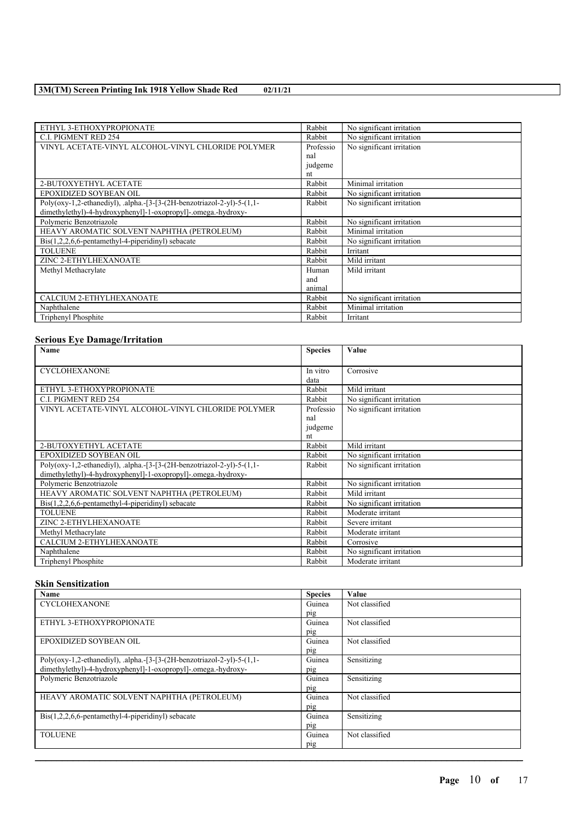| ETHYL 3-ETHOXYPROPIONATE                                               | Rabbit    | No significant irritation |
|------------------------------------------------------------------------|-----------|---------------------------|
|                                                                        |           |                           |
| <b>C.I. PIGMENT RED 254</b>                                            | Rabbit    | No significant irritation |
| VINYL ACETATE-VINYL ALCOHOL-VINYL CHLORIDE POLYMER                     | Professio | No significant irritation |
|                                                                        | nal       |                           |
|                                                                        | judgeme   |                           |
|                                                                        | nt        |                           |
| 2-BUTOXYETHYL ACETATE                                                  | Rabbit    | Minimal irritation        |
| EPOXIDIZED SOYBEAN OIL                                                 | Rabbit    | No significant irritation |
| Poly(oxy-1,2-ethanediyl), .alpha.-[3-[3-(2H-benzotriazol-2-yl)-5-(1,1- | Rabbit    | No significant irritation |
| dimethylethyl)-4-hydroxyphenyl]-1-oxopropyl]-.omega.-hydroxy-          |           |                           |
| Polymeric Benzotriazole                                                | Rabbit    | No significant irritation |
| HEAVY AROMATIC SOLVENT NAPHTHA (PETROLEUM)                             | Rabbit    | Minimal irritation        |
| $Dis(1,2,2,6,6-pentamethyl-4-piperidinyl)$ sebacate                    | Rabbit    | No significant irritation |
| <b>TOLUENE</b>                                                         | Rabbit    | Irritant                  |
| ZINC 2-ETHYLHEXANOATE                                                  | Rabbit    | Mild irritant             |
| Methyl Methacrylate                                                    | Human     | Mild irritant             |
|                                                                        | and       |                           |
|                                                                        | animal    |                           |
| CALCIUM 2-ETHYLHEXANOATE                                               | Rabbit    | No significant irritation |
| Naphthalene                                                            | Rabbit    | Minimal irritation        |
| Triphenyl Phosphite                                                    | Rabbit    | Irritant                  |

# **Serious Eye Damage/Irritation**

| Name                                                                   | <b>Species</b> | Value                     |
|------------------------------------------------------------------------|----------------|---------------------------|
|                                                                        |                |                           |
| <b>CYCLOHEXANONE</b>                                                   | In vitro       | Corrosive                 |
|                                                                        | data           |                           |
| ETHYL 3-ETHOXYPROPIONATE                                               | Rabbit         | Mild irritant             |
| <b>C.I. PIGMENT RED 254</b>                                            | Rabbit         | No significant irritation |
| VINYL ACETATE-VINYL ALCOHOL-VINYL CHLORIDE POLYMER                     | Professio      | No significant irritation |
|                                                                        | nal            |                           |
|                                                                        | judgeme        |                           |
|                                                                        | nt             |                           |
| 2-BUTOXYETHYL ACETATE                                                  | Rabbit         | Mild irritant             |
| EPOXIDIZED SOYBEAN OIL                                                 | Rabbit         | No significant irritation |
| Poly(oxy-1,2-ethanediyl), .alpha.-[3-[3-(2H-benzotriazol-2-yl)-5-(1,1- | Rabbit         | No significant irritation |
| dimethylethyl)-4-hydroxyphenyl]-1-oxopropyl]-.omega.-hydroxy-          |                |                           |
| Polymeric Benzotriazole                                                | Rabbit         | No significant irritation |
| HEAVY AROMATIC SOLVENT NAPHTHA (PETROLEUM)                             | Rabbit         | Mild irritant             |
| $\text{Bis}(1,2,2,6,6\text{-pentamethyl-4-piperidinyl})$ sebacate      | Rabbit         | No significant irritation |
| <b>TOLUENE</b>                                                         | Rabbit         | Moderate irritant         |
| ZINC 2-ETHYLHEXANOATE                                                  | Rabbit         | Severe irritant           |
| Methyl Methacrylate                                                    | Rabbit         | Moderate irritant         |
| CALCIUM 2-ETHYLHEXANOATE                                               | Rabbit         | Corrosive                 |
| Naphthalene                                                            | Rabbit         | No significant irritation |
| Triphenyl Phosphite                                                    | Rabbit         | Moderate irritant         |

## **Skin Sensitization**

| <b>Name</b>                                                            | <b>Species</b> | Value          |
|------------------------------------------------------------------------|----------------|----------------|
| <b>CYCLOHEXANONE</b>                                                   | Guinea         | Not classified |
|                                                                        | pig            |                |
| ETHYL 3-ETHOXYPROPIONATE                                               | Guinea         | Not classified |
|                                                                        | pig            |                |
| EPOXIDIZED SOYBEAN OIL                                                 | Guinea         | Not classified |
|                                                                        | pig            |                |
| Poly(oxy-1,2-ethanediyl), .alpha.-[3-[3-(2H-benzotriazol-2-yl)-5-(1,1- | Guinea         | Sensitizing    |
| dimethylethyl)-4-hydroxyphenyl]-1-oxopropyl]-.omega.-hydroxy-          | pig            |                |
| Polymeric Benzotriazole                                                | Guinea         | Sensitizing    |
|                                                                        | pig            |                |
| HEAVY AROMATIC SOLVENT NAPHTHA (PETROLEUM)                             | Guinea         | Not classified |
|                                                                        | pig            |                |
| $\text{Bis}(1,2,2,6,6\text{-pentamethyl-4-piperidiny})$ sebacate       | Guinea         | Sensitizing    |
|                                                                        | pig            |                |
| <b>TOLUENE</b>                                                         | Guinea         | Not classified |
|                                                                        | pig            |                |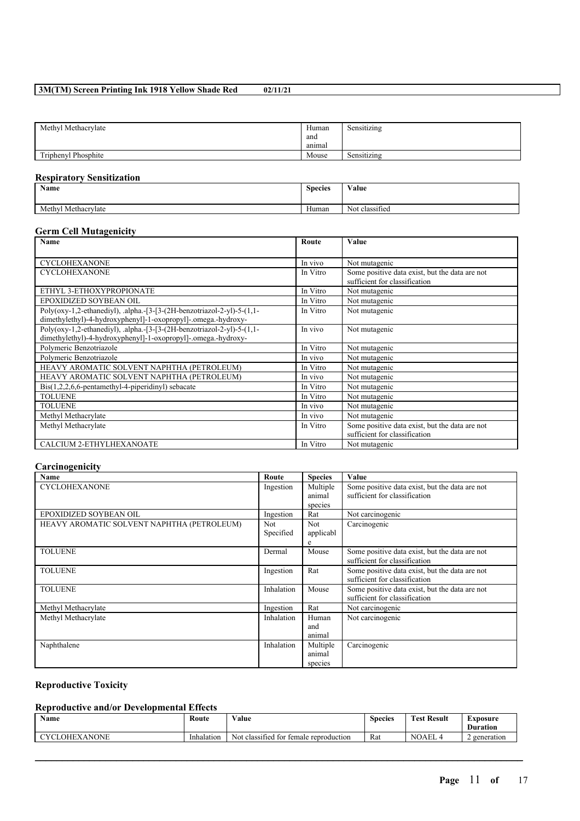| Methyl Methacrylate | Human  | $\cdots$<br>Sensitizing |
|---------------------|--------|-------------------------|
|                     | and    |                         |
|                     | anımal |                         |
| Triphenyl Phosphite | Mouse  | Sensitizing             |

# **Respiratory Sensitization**

| Name                                                   | <b>Species</b> | Value                         |
|--------------------------------------------------------|----------------|-------------------------------|
| $Methyl$ <sup><math>\cdot</math></sup><br>Methacrylate | Human          | $\sim$<br>Not .<br>classified |

## **Germ Cell Mutagenicity**

| <b>Name</b>                                                                                                                             | Route    | Value                                                                           |
|-----------------------------------------------------------------------------------------------------------------------------------------|----------|---------------------------------------------------------------------------------|
| <b>CYCLOHEXANONE</b>                                                                                                                    | In vivo  | Not mutagenic                                                                   |
| <b>CYCLOHEXANONE</b>                                                                                                                    | In Vitro | Some positive data exist, but the data are not<br>sufficient for classification |
| ETHYL 3-ETHOXYPROPIONATE                                                                                                                | In Vitro | Not mutagenic                                                                   |
| EPOXIDIZED SOYBEAN OIL                                                                                                                  | In Vitro | Not mutagenic                                                                   |
| Poly(oxy-1,2-ethanediyl), .alpha.-[3-[3-(2H-benzotriazol-2-yl)-5-(1,1-<br>dimethylethyl)-4-hydroxyphenyl]-1-oxopropyl]-.omega.-hydroxy- | In Vitro | Not mutagenic                                                                   |
| Poly(oxy-1,2-ethanediyl), .alpha.-[3-[3-(2H-benzotriazol-2-yl)-5-(1,1-<br>dimethylethyl)-4-hydroxyphenyl]-1-oxopropyl]-.omega.-hydroxy- | In vivo  | Not mutagenic                                                                   |
| Polymeric Benzotriazole                                                                                                                 | In Vitro | Not mutagenic                                                                   |
| Polymeric Benzotriazole                                                                                                                 | In vivo  | Not mutagenic                                                                   |
| HEAVY AROMATIC SOLVENT NAPHTHA (PETROLEUM)                                                                                              | In Vitro | Not mutagenic                                                                   |
| HEAVY AROMATIC SOLVENT NAPHTHA (PETROLEUM)                                                                                              | In vivo  | Not mutagenic                                                                   |
| $Dis(1,2,2,6,6-pentamethyl-4-piperidinyl)$ sebacate                                                                                     | In Vitro | Not mutagenic                                                                   |
| <b>TOLUENE</b>                                                                                                                          | In Vitro | Not mutagenic                                                                   |
| <b>TOLUENE</b>                                                                                                                          | In vivo  | Not mutagenic                                                                   |
| Methyl Methacrylate                                                                                                                     | In vivo  | Not mutagenic                                                                   |
| Methyl Methacrylate                                                                                                                     | In Vitro | Some positive data exist, but the data are not<br>sufficient for classification |
| CALCIUM 2-ETHYLHEXANOATE                                                                                                                | In Vitro | Not mutagenic                                                                   |

# **Carcinogenicity**

| Name                                       | Route      | <b>Species</b> | Value                                          |
|--------------------------------------------|------------|----------------|------------------------------------------------|
| <b>CYCLOHEXANONE</b>                       | Ingestion  | Multiple       | Some positive data exist, but the data are not |
|                                            |            | animal         | sufficient for classification                  |
|                                            |            | species        |                                                |
| EPOXIDIZED SOYBEAN OIL                     | Ingestion  | Rat            | Not carcinogenic                               |
| HEAVY AROMATIC SOLVENT NAPHTHA (PETROLEUM) | Not.       | Not.           | Carcinogenic                                   |
|                                            | Specified  | applicabl      |                                                |
|                                            |            | e              |                                                |
| <b>TOLUENE</b>                             | Dermal     | Mouse          | Some positive data exist, but the data are not |
|                                            |            |                | sufficient for classification                  |
| <b>TOLUENE</b>                             | Ingestion  | Rat            | Some positive data exist, but the data are not |
|                                            |            |                | sufficient for classification                  |
| <b>TOLUENE</b>                             | Inhalation | Mouse          | Some positive data exist, but the data are not |
|                                            |            |                | sufficient for classification                  |
| Methyl Methacrylate                        | Ingestion  | Rat            | Not carcinogenic                               |
| Methyl Methacrylate                        | Inhalation | Human          | Not carcinogenic                               |
|                                            |            | and            |                                                |
|                                            |            | animal         |                                                |
| Naphthalene                                | Inhalation | Multiple       | Carcinogenic                                   |
|                                            |            | animal         |                                                |
|                                            |            | species        |                                                |

# **Reproductive Toxicity**

# **Reproductive and/or Developmental Effects**

| <b>Name</b>                                                               | Route      | $\mathbf{v}$<br>Value                              | $\sim$<br><b>Species</b> | Result<br>r`est | --<br>Exposure  |
|---------------------------------------------------------------------------|------------|----------------------------------------------------|--------------------------|-----------------|-----------------|
|                                                                           |            |                                                    |                          |                 | <b>Duration</b> |
| <b>NONE</b><br>$\gamma$ $\gamma$ $\gamma$ .<br>OHF<br>$\mathbf{v}$<br>AAI | Inhalation | classified<br>temale<br>Not<br>tor<br>reproduction | Rat                      | `AEL<br>NC      | generation      |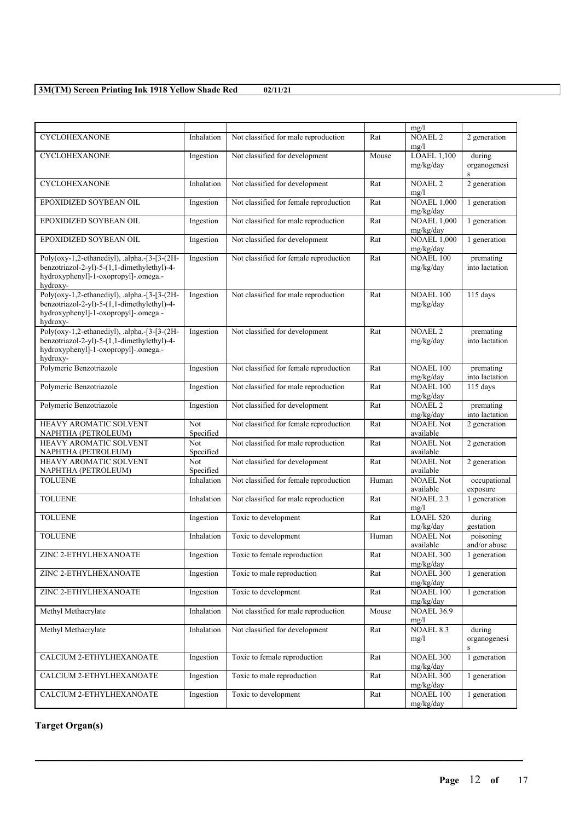|                                                                                                                                                 |                  |                                        |                   | mg/l                            |                                  |
|-------------------------------------------------------------------------------------------------------------------------------------------------|------------------|----------------------------------------|-------------------|---------------------------------|----------------------------------|
| CYCLOHEXANONE                                                                                                                                   | Inhalation       | Not classified for male reproduction   | Rat               | <b>NOAEL 2</b><br>mg/l          | 2 generation                     |
| <b>CYCLOHEXANONE</b>                                                                                                                            | Ingestion        | Not classified for development         | Mouse             | <b>LOAEL 1,100</b>              | during                           |
|                                                                                                                                                 |                  |                                        |                   | mg/kg/day                       | organogenesi<br>$\,$ S           |
| <b>CYCLOHEXANONE</b>                                                                                                                            | Inhalation       | Not classified for development         | Rat               | <b>NOAEL 2</b><br>mg/l          | 2 generation                     |
| EPOXIDIZED SOYBEAN OIL                                                                                                                          | Ingestion        | Not classified for female reproduction | Rat               | <b>NOAEL 1,000</b><br>mg/kg/day | 1 generation                     |
| EPOXIDIZED SOYBEAN OIL                                                                                                                          | Ingestion        | Not classified for male reproduction   | Rat               | <b>NOAEL 1.000</b><br>mg/kg/day | 1 generation                     |
| EPOXIDIZED SOYBEAN OIL                                                                                                                          | Ingestion        | Not classified for development         | Rat               | <b>NOAEL 1,000</b><br>mg/kg/day | 1 generation                     |
| Poly(oxy-1,2-ethanediyl), .alpha.-[3-[3-(2H-<br>benzotriazol-2-yl)-5-(1,1-dimethylethyl)-4-<br>hydroxyphenyl]-1-oxopropyl]-.omega.-<br>hydroxy- | Ingestion        | Not classified for female reproduction | Rat               | <b>NOAEL 100</b><br>mg/kg/day   | premating<br>into lactation      |
| Poly(oxy-1,2-ethanediyl), .alpha.-[3-[3-(2H-<br>benzotriazol-2-yl)-5-(1,1-dimethylethyl)-4-<br>hydroxyphenyl]-1-oxopropyl]-.omega.-<br>hydroxy- | Ingestion        | Not classified for male reproduction   | Rat               | NOAEL 100<br>mg/kg/day          | $115$ days                       |
| Poly(oxy-1,2-ethanediyl), .alpha.-[3-[3-(2H-<br>benzotriazol-2-yl)-5-(1,1-dimethylethyl)-4-<br>hydroxyphenyl]-1-oxopropyl]-.omega.-<br>hydroxy- | Ingestion        | Not classified for development         | Rat               | <b>NOAEL 2</b><br>mg/kg/day     | premating<br>into lactation      |
| Polymeric Benzotriazole                                                                                                                         | Ingestion        | Not classified for female reproduction | Rat               | <b>NOAEL 100</b><br>mg/kg/day   | premating<br>into lactation      |
| Polymeric Benzotriazole                                                                                                                         | Ingestion        | Not classified for male reproduction   | Rat               | <b>NOAEL 100</b><br>mg/kg/day   | 115 days                         |
| Polymeric Benzotriazole                                                                                                                         | Ingestion        | Not classified for development         | Rat               | <b>NOAEL 2</b><br>mg/kg/day     | premating<br>into lactation      |
| HEAVY AROMATIC SOLVENT<br>NAPHTHA (PETROLEUM)                                                                                                   | Not<br>Specified | Not classified for female reproduction | Rat               | <b>NOAEL Not</b><br>available   | 2 generation                     |
| HEAVY AROMATIC SOLVENT<br>NAPHTHA (PETROLEUM)                                                                                                   | Not<br>Specified | Not classified for male reproduction   | $\overline{R}$ at | <b>NOAEL Not</b><br>available   | 2 generation                     |
| HEAVY AROMATIC SOLVENT<br>NAPHTHA (PETROLEUM)                                                                                                   | Not<br>Specified | Not classified for development         | Rat               | <b>NOAEL Not</b><br>available   | 2 generation                     |
| <b>TOLUENE</b>                                                                                                                                  | Inhalation       | Not classified for female reproduction | Human             | <b>NOAEL Not</b><br>available   | occupational<br>exposure         |
| <b>TOLUENE</b>                                                                                                                                  | Inhalation       | Not classified for male reproduction   | Rat               | <b>NOAEL 2.3</b><br>mg/l        | 1 generation                     |
| <b>TOLUENE</b>                                                                                                                                  | Ingestion        | Toxic to development                   | Rat               | LOAEL 520<br>mg/kg/day          | during<br>gestation              |
| <b>TOLUENE</b>                                                                                                                                  | Inhalation       | Toxic to development                   | Human             | <b>NOAEL Not</b><br>available   | poisoning<br>and/or abuse        |
| ZINC 2-ETHYLHEXANOATE                                                                                                                           | Ingestion        | Toxic to female reproduction           | $\overline{Rat}$  | <b>NOAEL 300</b><br>mg/kg/day   | 1 generation                     |
| ZINC 2-ETHYLHEXANOATE                                                                                                                           | Ingestion        | Toxic to male reproduction             | Rat               | <b>NOAEL 300</b><br>mg/kg/day   | 1 generation                     |
| ZINC 2-ETHYLHEXANOATE                                                                                                                           | Ingestion        | Toxic to development                   | Rat               | <b>NOAEL 100</b><br>mg/kg/day   | 1 generation                     |
| Methyl Methacrylate                                                                                                                             | Inhalation       | Not classified for male reproduction   | Mouse             | <b>NOAEL 36.9</b><br>mg/l       |                                  |
| Methyl Methacrylate                                                                                                                             | Inhalation       | Not classified for development         | Rat               | <b>NOAEL 8.3</b><br>mg/l        | during<br>organogenesi<br>$\,$ s |
| CALCIUM 2-ETHYLHEXANOATE                                                                                                                        | Ingestion        | Toxic to female reproduction           | Rat               | <b>NOAEL 300</b><br>mg/kg/day   | 1 generation                     |
| CALCIUM 2-ETHYLHEXANOATE                                                                                                                        | Ingestion        | Toxic to male reproduction             | Rat               | <b>NOAEL 300</b><br>mg/kg/day   | 1 generation                     |
| CALCIUM 2-ETHYLHEXANOATE                                                                                                                        | Ingestion        | Toxic to development                   | Rat               | <b>NOAEL 100</b><br>mg/kg/day   | 1 generation                     |

 $\mathcal{L}_\mathcal{L} = \mathcal{L}_\mathcal{L} = \mathcal{L}_\mathcal{L} = \mathcal{L}_\mathcal{L} = \mathcal{L}_\mathcal{L} = \mathcal{L}_\mathcal{L} = \mathcal{L}_\mathcal{L} = \mathcal{L}_\mathcal{L} = \mathcal{L}_\mathcal{L} = \mathcal{L}_\mathcal{L} = \mathcal{L}_\mathcal{L} = \mathcal{L}_\mathcal{L} = \mathcal{L}_\mathcal{L} = \mathcal{L}_\mathcal{L} = \mathcal{L}_\mathcal{L} = \mathcal{L}_\mathcal{L} = \mathcal{L}_\mathcal{L}$ 

# **Target Organ(s)**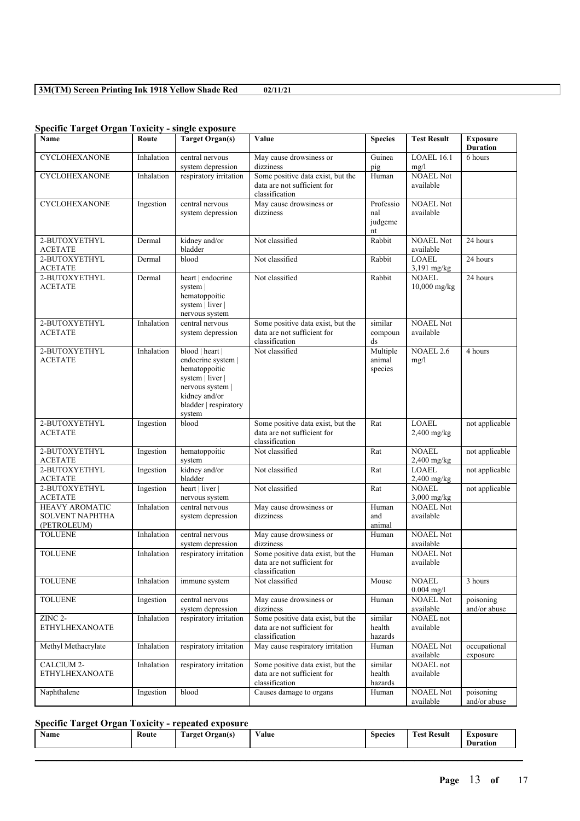| Specific Target Organ Tuxicity - single exposure               |            |                                                                                                                                                    |                                                                                    |                                                         |                               |                                    |
|----------------------------------------------------------------|------------|----------------------------------------------------------------------------------------------------------------------------------------------------|------------------------------------------------------------------------------------|---------------------------------------------------------|-------------------------------|------------------------------------|
| Name                                                           | Route      | <b>Target Organ(s)</b>                                                                                                                             | Value                                                                              | <b>Species</b>                                          | <b>Test Result</b>            | <b>Exposure</b><br><b>Duration</b> |
| CYCLOHEXANONE                                                  | Inhalation | central nervous<br>system depression                                                                                                               | May cause drowsiness or<br>dizziness                                               | Guinea<br>pig                                           | LOAEL 16.1<br>mg/l            | 6 hours                            |
| <b>CYCLOHEXANONE</b>                                           | Inhalation | respiratory irritation                                                                                                                             | Some positive data exist, but the<br>data are not sufficient for<br>classification | Human                                                   | <b>NOAEL Not</b><br>available |                                    |
| CYCLOHEXANONE                                                  | Ingestion  | central nervous<br>system depression                                                                                                               | May cause drowsiness or<br>dizziness                                               | Professio<br>nal<br>judgeme<br>$\mathop{\hbox{\rm nt}}$ | <b>NOAEL Not</b><br>available |                                    |
| 2-BUTOXYETHYL<br><b>ACETATE</b>                                | Dermal     | kidney and/or<br>bladder                                                                                                                           | Not classified                                                                     | Rabbit                                                  | <b>NOAEL Not</b><br>available | 24 hours                           |
| 2-BUTOXYETHYL<br><b>ACETATE</b>                                | Dermal     | blood                                                                                                                                              | Not classified                                                                     | Rabbit                                                  | <b>LOAEL</b><br>3,191 mg/kg   | 24 hours                           |
| 2-BUTOXYETHYL<br><b>ACETATE</b>                                | Dermal     | heart   endocrine<br>system  <br>hematoppoitic<br>system   liver  <br>nervous system                                                               | Not classified                                                                     | Rabbit                                                  | <b>NOAEL</b><br>10,000 mg/kg  | 24 hours                           |
| 2-BUTOXYETHYL<br><b>ACETATE</b>                                | Inhalation | central nervous<br>system depression                                                                                                               | Some positive data exist, but the<br>data are not sufficient for<br>classification | similar<br>compoun<br>ds                                | <b>NOAEL Not</b><br>available |                                    |
| 2-BUTOXYETHYL<br><b>ACETATE</b>                                | Inhalation | blood   heart  <br>endocrine system  <br>hematoppoitic<br>system   liver  <br>nervous system  <br>kidney and/or<br>bladder   respiratory<br>system | Not classified                                                                     | Multiple<br>animal<br>species                           | <b>NOAEL 2.6</b><br>mg/l      | 4 hours                            |
| 2-BUTOXYETHYL<br><b>ACETATE</b>                                | Ingestion  | blood                                                                                                                                              | Some positive data exist, but the<br>data are not sufficient for<br>classification | Rat                                                     | <b>LOAEL</b><br>$2,400$ mg/kg | not applicable                     |
| 2-BUTOXYETHYL<br><b>ACETATE</b>                                | Ingestion  | hematoppoitic<br>system                                                                                                                            | Not classified                                                                     | Rat                                                     | <b>NOAEL</b><br>$2,400$ mg/kg | not applicable                     |
| 2-BUTOXYETHYL<br><b>ACETATE</b>                                | Ingestion  | kidney and/or<br>bladder                                                                                                                           | Not classified                                                                     | Rat                                                     | <b>LOAEL</b><br>2,400 mg/kg   | not applicable                     |
| 2-BUTOXYETHYL<br><b>ACETATE</b>                                | Ingestion  | heart   liver  <br>nervous system                                                                                                                  | Not classified                                                                     | Rat                                                     | <b>NOAEL</b><br>3,000 mg/kg   | not applicable                     |
| <b>HEAVY AROMATIC</b><br><b>SOLVENT NAPHTHA</b><br>(PETROLEUM) | Inhalation | central nervous<br>system depression                                                                                                               | May cause drowsiness or<br>dizziness                                               | Human<br>and<br>animal                                  | <b>NOAEL Not</b><br>available |                                    |
| <b>TOLUENE</b>                                                 | Inhalation | central nervous<br>system depression                                                                                                               | May cause drowsiness or<br>dizziness                                               | Human                                                   | <b>NOAEL Not</b><br>available |                                    |
| <b>TOLUENE</b>                                                 | Inhalation | respiratory irritation                                                                                                                             | Some positive data exist, but the<br>data are not sufficient for<br>classification | Human                                                   | <b>NOAEL Not</b><br>available |                                    |
| <b>TOLUENE</b>                                                 | Inhalation | immune system                                                                                                                                      | Not classified                                                                     | Mouse                                                   | <b>NOAEL</b><br>$0.004$ mg/l  | 3 hours                            |
| <b>TOLUENE</b>                                                 | Ingestion  | central nervous<br>system depression                                                                                                               | May cause drowsiness or<br>dizziness                                               | Human                                                   | <b>NOAEL Not</b><br>available | poisoning<br>and/or abuse          |
| ZINC <sub>2</sub> -<br><b>ETHYLHEXANOATE</b>                   | Inhalation | respiratory irritation                                                                                                                             | Some positive data exist, but the<br>data are not sufficient for<br>classification | similar<br>health<br>hazards                            | NOAEL not<br>available        |                                    |
| Methyl Methacrylate                                            | Inhalation | respiratory irritation                                                                                                                             | May cause respiratory irritation                                                   | Human                                                   | <b>NOAEL Not</b><br>available | occupational<br>exposure           |
| CALCIUM 2-<br><b>ETHYLHEXANOATE</b>                            | Inhalation | respiratory irritation                                                                                                                             | Some positive data exist, but the<br>data are not sufficient for<br>classification | similar<br>health<br>hazards                            | NOAEL not<br>available        |                                    |
| Naphthalene                                                    | Ingestion  | blood                                                                                                                                              | Causes damage to organs                                                            | Human                                                   | <b>NOAEL Not</b><br>available | poisoning<br>and/or abuse          |

# **Specific Target Organ Toxicity - single exposure**

# **Specific Target Organ Toxicity - repeated exposure**

| <b>Name</b> | Route | Target Organ(s) | Value | <b>Species</b> | <b>Fest Result</b><br><b>CONTRACTOR</b> | Exposure<br><b>Duration</b> |
|-------------|-------|-----------------|-------|----------------|-----------------------------------------|-----------------------------|
|             |       |                 |       |                |                                         |                             |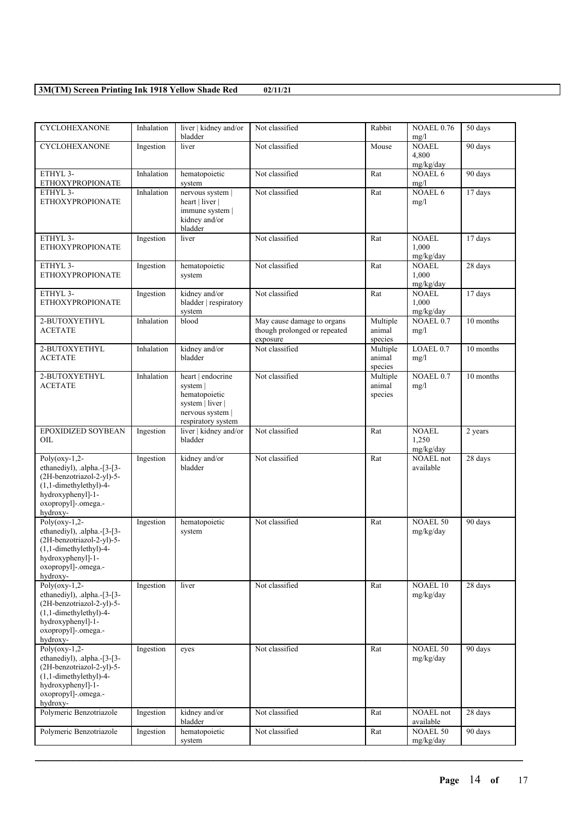| <b>CYCLOHEXANONE</b>                                                                                                                                                          | Inhalation | liver   kidney and/or<br>bladder                                                                             | Not classified                                                         | Rabbit                        | <b>NOAEL 0.76</b><br>mg/l          | 50 days   |
|-------------------------------------------------------------------------------------------------------------------------------------------------------------------------------|------------|--------------------------------------------------------------------------------------------------------------|------------------------------------------------------------------------|-------------------------------|------------------------------------|-----------|
| <b>CYCLOHEXANONE</b>                                                                                                                                                          | Ingestion  | liver                                                                                                        | Not classified                                                         | Mouse                         | <b>NOAEL</b><br>4,800<br>mg/kg/day | 90 days   |
| ETHYL 3-<br><b>ETHOXYPROPIONATE</b>                                                                                                                                           | Inhalation | hematopoietic<br>system                                                                                      | Not classified                                                         | Rat                           | NOAEL 6<br>mg/l                    | 90 days   |
| ETHYL 3-<br><b>ETHOXYPROPIONATE</b>                                                                                                                                           | Inhalation | nervous system  <br>heart   liver  <br>immune system  <br>kidney and/or<br>bladder                           | Not classified                                                         | Rat                           | NOAEL 6<br>mg/l                    | 17 days   |
| ETHYL 3-<br><b>ETHOXYPROPIONATE</b>                                                                                                                                           | Ingestion  | liver                                                                                                        | Not classified                                                         | Rat                           | <b>NOAEL</b><br>1,000<br>mg/kg/day | 17 days   |
| ETHYL 3-<br><b>ETHOXYPROPIONATE</b>                                                                                                                                           | Ingestion  | hematopoietic<br>system                                                                                      | Not classified                                                         | Rat                           | <b>NOAEL</b><br>1,000<br>mg/kg/day | 28 days   |
| ETHYL 3-<br><b>ETHOXYPROPIONATE</b>                                                                                                                                           | Ingestion  | kidney and/or<br>bladder   respiratory<br>system                                                             | Not classified                                                         | Rat                           | <b>NOAEL</b><br>1,000<br>mg/kg/day | 17 days   |
| 2-BUTOXYETHYL<br><b>ACETATE</b>                                                                                                                                               | Inhalation | blood                                                                                                        | May cause damage to organs<br>though prolonged or repeated<br>exposure | Multiple<br>animal<br>species | $NOAEL$ <sub>0.7</sub><br>mg/l     | 10 months |
| 2-BUTOXYETHYL<br><b>ACETATE</b>                                                                                                                                               | Inhalation | kidney and/or<br>bladder                                                                                     | Not classified                                                         | Multiple<br>animal<br>species | LOAEL 0.7<br>mg/l                  | 10 months |
| 2-BUTOXYETHYL<br><b>ACETATE</b>                                                                                                                                               | Inhalation | heart   endocrine<br>system  <br>hematopoietic<br>system   liver  <br>nervous system  <br>respiratory system | Not classified                                                         | Multiple<br>animal<br>species | NOAEL <sub>0.7</sub><br>mg/l       | 10 months |
| EPOXIDIZED SOYBEAN<br>ОIL                                                                                                                                                     | Ingestion  | liver   kidney and/or<br>bladder                                                                             | Not classified                                                         | Rat                           | <b>NOAEL</b><br>1,250<br>mg/kg/day | 2 years   |
| Poly( $oxy-1,2$ -<br>ethanediyl), .alpha.-[3-[3-<br>(2H-benzotriazol-2-yl)-5-<br>$(1,1$ -dimethylethyl)-4-<br>hydroxyphenyl]-1-<br>oxopropyl]-.omega.-<br>hydroxy-            | Ingestion  | kidney and/or<br>bladder                                                                                     | Not classified                                                         | Rat                           | <b>NOAEL</b> not<br>available      | 28 days   |
| Poly( $\overline{oxy-1,2}$ -<br>ethanediyl), .alpha.-[3-[3-<br>(2H-benzotriazol-2-yl)-5-<br>$(1,1$ -dimethylethyl)-4-<br>hydroxyphenyl -1-<br>oxopropyl]-.omega.-<br>hydroxy- | Ingestion  | hematopoietic<br>system                                                                                      | Not classified                                                         | Rat                           | <b>NOAEL 50</b><br>mg/kg/day       | 90 days   |
| Poly( $oxy-1,2$ -<br>ethanediyl), .alpha.-[3-[3-<br>(2H-benzotriazol-2-yl)-5-<br>$(1,1$ -dimethylethyl)-4-<br>hydroxyphenyl]-1-<br>oxopropyl]-.omega.-<br>hydroxy-            | Ingestion  | liver                                                                                                        | Not classified                                                         | Rat                           | NOAEL10<br>mg/kg/day               | 28 days   |
| $Poly(0xy-1,2-$<br>ethanediyl), .alpha.-[3-[3-<br>(2H-benzotriazol-2-yl)-5-<br>$(1,1$ -dimethylethyl)-4-<br>hydroxyphenyl]-1-<br>oxopropyl]-.omega.-<br>hydroxy-              | Ingestion  | eyes                                                                                                         | Not classified                                                         | Rat                           | <b>NOAEL 50</b><br>mg/kg/day       | 90 days   |
| Polymeric Benzotriazole                                                                                                                                                       | Ingestion  | kidney and/or<br>bladder                                                                                     | Not classified                                                         | Rat                           | <b>NOAEL</b> not<br>available      | 28 days   |
| Polymeric Benzotriazole                                                                                                                                                       | Ingestion  | hematopoietic<br>system                                                                                      | Not classified                                                         | Rat                           | <b>NOAEL 50</b><br>mg/kg/day       | 90 days   |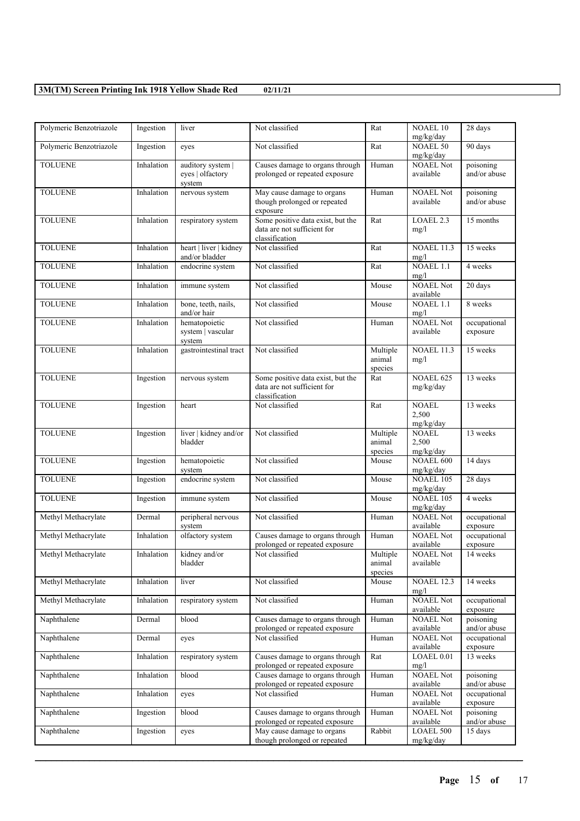| Polymeric Benzotriazole | Ingestion  | liver                              | Not classified                                                    | Rat              | <b>NOAEL 10</b><br>mg/kg/day  | 28 days                   |
|-------------------------|------------|------------------------------------|-------------------------------------------------------------------|------------------|-------------------------------|---------------------------|
| Polymeric Benzotriazole | Ingestion  | eyes                               | Not classified                                                    | Rat              | <b>NOAEL 50</b><br>mg/kg/day  | 90 days                   |
| <b>TOLUENE</b>          | Inhalation | auditory system                    | Causes damage to organs through                                   | Human            | <b>NOAEL Not</b>              | poisoning                 |
|                         |            | eyes   olfactory<br>system         | prolonged or repeated exposure                                    |                  | available                     | and/or abuse              |
| <b>TOLUENE</b>          | Inhalation | nervous system                     | May cause damage to organs                                        | Human            | <b>NOAEL Not</b>              | poisoning                 |
|                         |            |                                    | though prolonged or repeated<br>exposure                          |                  | available                     | and/or abuse              |
| <b>TOLUENE</b>          | Inhalation | respiratory system                 | Some positive data exist, but the                                 | Rat              | LOAEL 2.3                     | 15 months                 |
|                         |            |                                    | data are not sufficient for<br>classification                     |                  | mg/l                          |                           |
| <b>TOLUENE</b>          | Inhalation | heart   liver   kidney             | Not classified                                                    | Rat              | <b>NOAEL 11.3</b>             | 15 weeks                  |
| <b>TOLUENE</b>          | Inhalation | and/or bladder                     | Not classified                                                    |                  | mg/l<br>NOAEL 1.1             | 4 weeks                   |
|                         |            | endocrine system                   |                                                                   | Rat              | mg/l                          |                           |
| <b>TOLUENE</b>          | Inhalation | immune system                      | Not classified                                                    | Mouse            | <b>NOAEL Not</b><br>available | 20 days                   |
| <b>TOLUENE</b>          | Inhalation | bone, teeth, nails,<br>and/or hair | Not classified                                                    | Mouse            | NOAEL 1.1<br>mg/l             | 8 weeks                   |
| <b>TOLUENE</b>          | Inhalation | hematopoietic                      | Not classified                                                    | Human            | <b>NOAEL Not</b>              | occupational              |
|                         |            | system   vascular                  |                                                                   |                  | available                     | exposure                  |
| <b>TOLUENE</b>          | Inhalation | system<br>gastrointestinal tract   | Not classified                                                    | Multiple         | <b>NOAEL 11.3</b>             | 15 weeks                  |
|                         |            |                                    |                                                                   | animal           | mg/l                          |                           |
|                         |            |                                    |                                                                   | species          |                               |                           |
| <b>TOLUENE</b>          | Ingestion  | nervous system                     | Some positive data exist, but the<br>data are not sufficient for  | Rat              | NOAEL 625<br>mg/kg/day        | 13 weeks                  |
|                         |            |                                    | classification                                                    |                  |                               |                           |
| <b>TOLUENE</b>          | Ingestion  | heart                              | Not classified                                                    | Rat              | <b>NOAEL</b>                  | 13 weeks                  |
|                         |            |                                    |                                                                   |                  | 2,500<br>mg/kg/day            |                           |
| <b>TOLUENE</b>          | Ingestion  | liver   kidney and/or              | Not classified                                                    | Multiple         | <b>NOAEL</b>                  | 13 weeks                  |
|                         |            | bladder                            |                                                                   | animal           | 2,500                         |                           |
| <b>TOLUENE</b>          |            | hematopoietic                      | Not classified                                                    | species<br>Mouse | mg/kg/day<br><b>NOAEL 600</b> | 14 days                   |
|                         | Ingestion  | system                             |                                                                   |                  | mg/kg/day                     |                           |
| <b>TOLUENE</b>          | Ingestion  | endocrine system                   | Not classified                                                    | Mouse            | <b>NOAEL 105</b>              | 28 days                   |
| <b>TOLUENE</b>          |            |                                    | Not classified                                                    | Mouse            | mg/kg/day<br><b>NOAEL 105</b> | 4 weeks                   |
|                         | Ingestion  | immune system                      |                                                                   |                  | mg/kg/day                     |                           |
| Methyl Methacrylate     | Dermal     | peripheral nervous                 | Not classified                                                    | Human            | <b>NOAEL Not</b>              | occupational              |
|                         |            | system                             |                                                                   |                  | available                     | exposure                  |
| Methyl Methacrylate     | Inhalation | olfactory system                   | Causes damage to organs through<br>prolonged or repeated exposure | Human            | <b>NOAEL Not</b><br>available | occupational<br>exposure  |
| Methyl Methacrylate     | Inhalation | kidney and/or                      | Not classified                                                    | Multiple         | <b>NOAEL Not</b>              | 14 weeks                  |
|                         |            | bladder                            |                                                                   | animal           | available                     |                           |
| Methyl Methacrylate     | Inhalation | liver                              | Not classified                                                    | species<br>Mouse | <b>NOAEL 12.3</b>             | 14 weeks                  |
|                         |            |                                    |                                                                   |                  | mg/l                          |                           |
| Methyl Methacrylate     | Inhalation | respiratory system                 | Not classified                                                    | Human            | <b>NOAEL Not</b><br>available | occupational<br>exposure  |
| Naphthalene             | Dermal     | blood                              | Causes damage to organs through                                   | Human            | <b>NOAEL Not</b>              | poisoning                 |
|                         |            |                                    | prolonged or repeated exposure                                    |                  | available                     | and/or abuse              |
| Naphthalene             | Dermal     | eyes                               | Not classified                                                    | Human            | NOAEL Not<br>available        | occupational<br>exposure  |
| Naphthalene             | Inhalation | respiratory system                 | Causes damage to organs through                                   | Rat              | LOAEL 0.01                    | 13 weeks                  |
|                         |            |                                    | prolonged or repeated exposure                                    |                  | mg/l                          |                           |
| Naphthalene             | Inhalation | blood                              | Causes damage to organs through<br>prolonged or repeated exposure | Human            | <b>NOAEL Not</b><br>available | poisoning<br>and/or abuse |
| Naphthalene             | Inhalation | eyes                               | Not classified                                                    | Human            | <b>NOAEL Not</b>              | occupational              |
|                         |            |                                    |                                                                   |                  | available                     | exposure                  |
| Naphthalene             | Ingestion  | blood                              | Causes damage to organs through<br>prolonged or repeated exposure | Human            | NOAEL Not<br>available        | poisoning<br>and/or abuse |
| Naphthalene             | Ingestion  | eyes                               | May cause damage to organs                                        | Rabbit           | <b>LOAEL 500</b>              | 15 days                   |
|                         |            |                                    | though prolonged or repeated                                      |                  | mg/kg/day                     |                           |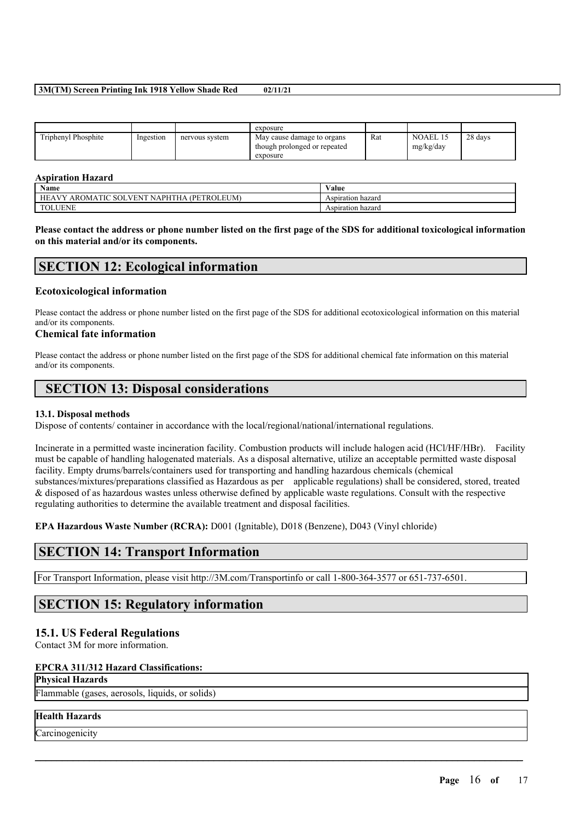|                     |           |                | exposure                                                               |     |                       |         |
|---------------------|-----------|----------------|------------------------------------------------------------------------|-----|-----------------------|---------|
| Triphenyl Phosphite | Ingestion | nervous system | May cause damage to organs<br>though prolonged or repeated<br>exposure | Rat | NOAEL 15<br>mg/kg/day | 28 days |

### **Aspiration Hazard**

| Name                                                                                                           | $\mathbf{v}$<br>⁄ alue |
|----------------------------------------------------------------------------------------------------------------|------------------------|
| .EUM)<br>$\cdot$ NAPHT<br>AVV<br><b>PET</b><br>НE<br><b>AROMA</b><br>TIC<br>™Rι<br>N<br>. НА<br>ਾ<br>SUI<br>۰. | Aspiration hazard      |
| <b>TOLUENE</b><br>$\mathbf{r}$                                                                                 | Aspiration hazard      |

Please contact the address or phone number listed on the first page of the SDS for additional toxicological information **on this material and/or its components.**

# **SECTION 12: Ecological information**

## **Ecotoxicological information**

Please contact the address or phone number listed on the first page of the SDS for additional ecotoxicological information on this material and/or its components.

## **Chemical fate information**

Please contact the address or phone number listed on the first page of the SDS for additional chemical fate information on this material and/or its components.

# **SECTION 13: Disposal considerations**

## **13.1. Disposal methods**

Dispose of contents/ container in accordance with the local/regional/national/international regulations.

Incinerate in a permitted waste incineration facility. Combustion products will include halogen acid (HCl/HF/HBr). Facility must be capable of handling halogenated materials. As a disposal alternative, utilize an acceptable permitted waste disposal facility. Empty drums/barrels/containers used for transporting and handling hazardous chemicals (chemical substances/mixtures/preparations classified as Hazardous as per applicable regulations) shall be considered, stored, treated & disposed of as hazardous wastes unless otherwise defined by applicable waste regulations. Consult with the respective regulating authorities to determine the available treatment and disposal facilities.

 $\mathcal{L}_\mathcal{L} = \mathcal{L}_\mathcal{L} = \mathcal{L}_\mathcal{L} = \mathcal{L}_\mathcal{L} = \mathcal{L}_\mathcal{L} = \mathcal{L}_\mathcal{L} = \mathcal{L}_\mathcal{L} = \mathcal{L}_\mathcal{L} = \mathcal{L}_\mathcal{L} = \mathcal{L}_\mathcal{L} = \mathcal{L}_\mathcal{L} = \mathcal{L}_\mathcal{L} = \mathcal{L}_\mathcal{L} = \mathcal{L}_\mathcal{L} = \mathcal{L}_\mathcal{L} = \mathcal{L}_\mathcal{L} = \mathcal{L}_\mathcal{L}$ 

**EPA Hazardous Waste Number (RCRA):** D001 (Ignitable), D018 (Benzene), D043 (Vinyl chloride)

# **SECTION 14: Transport Information**

For Transport Information, please visit http://3M.com/Transportinfo or call 1-800-364-3577 or 651-737-6501.

# **SECTION 15: Regulatory information**

## **15.1. US Federal Regulations**

Contact 3M for more information.

## **EPCRA 311/312 Hazard Classifications:**

### **Physical Hazards**

Flammable (gases, aerosols, liquids, or solids)

## **Health Hazards**

**Carcinogenicity**